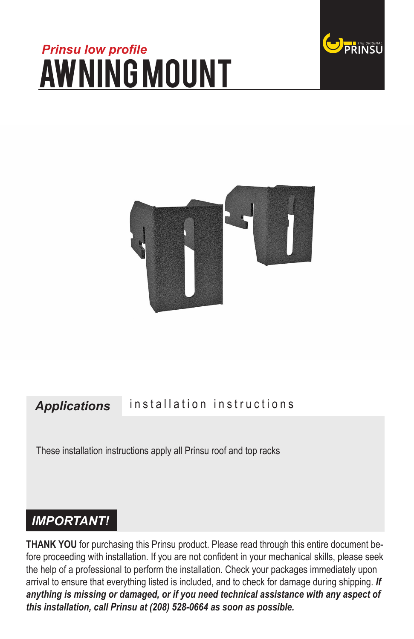# *Prinsu low profile* awning mount





#### *Applications* installation instructions

These installation instructions apply all Prinsu roof and top racks

# *IMPORTANT!*

**THANK YOU** for purchasing this Prinsu product. Please read through this entire document before proceeding with installation. If you are not confident in your mechanical skills, please seek the help of a professional to perform the installation. Check your packages immediately upon arrival to ensure that everything listed is included, and to check for damage during shipping. *If anything is missing or damaged, or if you need technical assistance with any aspect of this installation, call Prinsu at (208) 528-0664 as soon as possible.*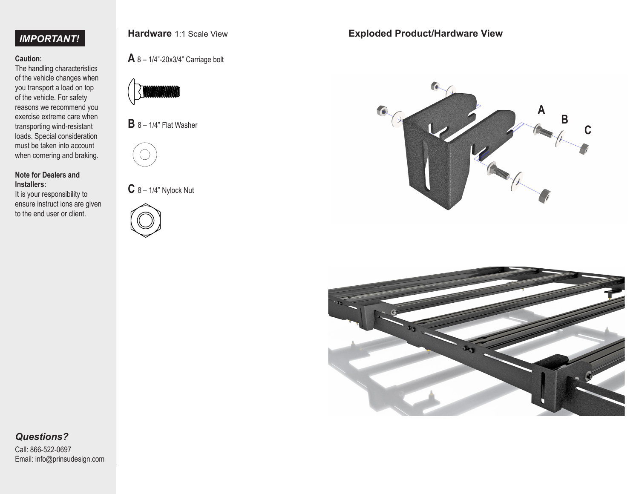# *IMPORTANT!*

### **Caution:**

The handling characteristics of the vehicle changes when you transport a load on top of the vehicle. For safety reasons we recommend you exercise extreme care when transporting wind-resistant loads. Special consideration must be taken into account when cornering and braking.

#### **Note for Dealers and Installers:**

It is your responsibility to ensure instruct ions are given to the end user or client.



# **A** 8 – 1/4"-20x3/4" Carriage bolt



**B** 8 – 1/4" Flat Washer



**C** 8 – 1/4" Nylock Nut



## **Exploded Product/Hardware View**





# *Questions?*

Call: 866-522-0697 Email: info@prinsudesign.com